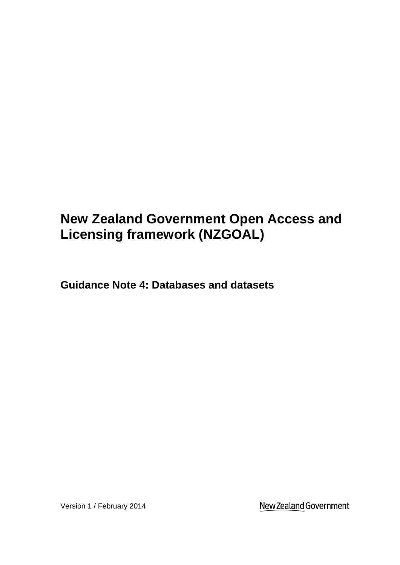# **New Zealand Government Open Access and Licensing framework (NZGOAL)**

**Guidance Note 4: Databases and datasets**

Version 1 / February 2014

New Zealand Government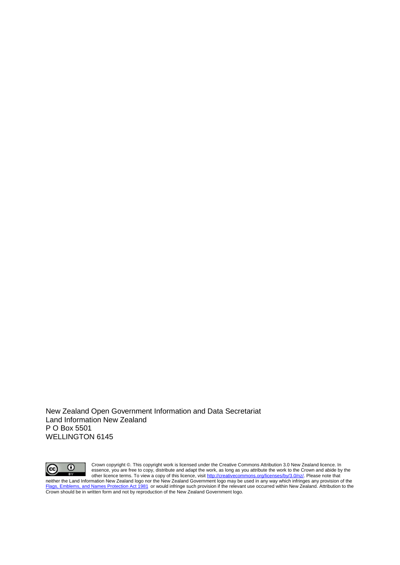New Zealand Open Government Information and Data Secretariat Land Information New Zealand P O Box 5501 WELLINGTON 6145



Crown copyright ©. This copyright work is licensed under the Creative Commons Attribution 3.0 New Zealand licence. In essence, you are free to copy, distribute and adapt the work, as long as you attribute the work to the Crown and abide by the other licence terms. To view a copy of this licence, visi[t http://creativecommons.org/licenses/by/3.0/nz/.](http://creativecommons.org/licenses/by/3.0/nz/) Please note that neither the Land Information New Zealand logo nor the New Zealand Government logo may be used in any way which infringes any provision of the [Flags, Emblems, and Names Protection Act 1981](http://www.legislation.govt.nz/act/public/1981/0047/latest/whole.html#dlm52216) or would infringe such provision if the relevant use occurred within New Zealand. Attribution to the Crown should be in written form and not by reproduction of the New Zealand Government logo.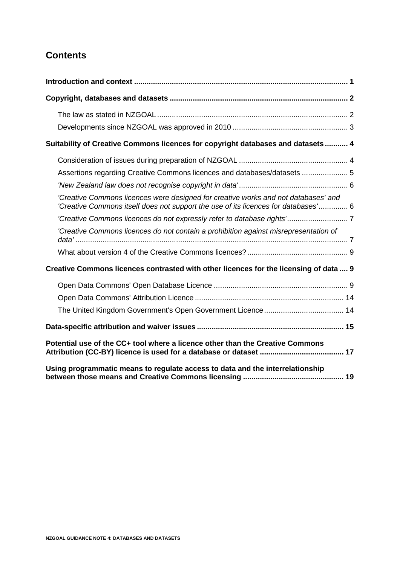# **Contents**

| Suitability of Creative Commons licences for copyright databases and datasets  4                                                                                         |
|--------------------------------------------------------------------------------------------------------------------------------------------------------------------------|
|                                                                                                                                                                          |
| Assertions regarding Creative Commons licences and databases/datasets  5                                                                                                 |
|                                                                                                                                                                          |
| 'Creative Commons licences were designed for creative works and not databases' and<br>'Creative Commons itself does not support the use of its licences for databases' 6 |
|                                                                                                                                                                          |
| 'Creative Commons licences do not contain a prohibition against misrepresentation of                                                                                     |
|                                                                                                                                                                          |
| Creative Commons licences contrasted with other licences for the licensing of data  9                                                                                    |
|                                                                                                                                                                          |
|                                                                                                                                                                          |
|                                                                                                                                                                          |
|                                                                                                                                                                          |
| Potential use of the CC+ tool where a licence other than the Creative Commons                                                                                            |
| Using programmatic means to regulate access to data and the interrelationship                                                                                            |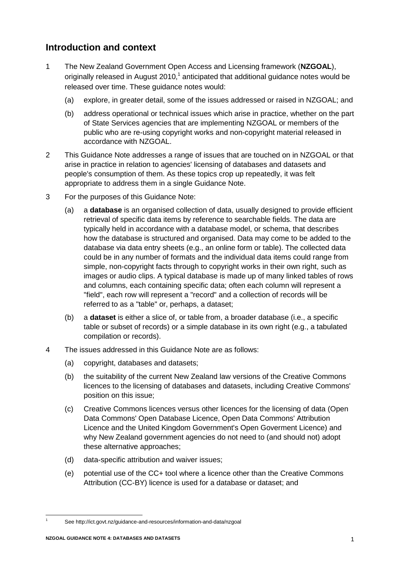# **Introduction and context**

- 1 The New Zealand Government Open Access and Licensing framework (**NZGOAL**), originally released in August 2010, $<sup>1</sup>$  anticipated that additional guidance notes would be</sup> released over time. These guidance notes would:
	- (a) explore, in greater detail, some of the issues addressed or raised in NZGOAL; and
	- (b) address operational or technical issues which arise in practice, whether on the part of State Services agencies that are implementing NZGOAL or members of the public who are re-using copyright works and non-copyright material released in accordance with NZGOAL.
- 2 This Guidance Note addresses a range of issues that are touched on in NZGOAL or that arise in practice in relation to agencies' licensing of databases and datasets and people's consumption of them. As these topics crop up repeatedly, it was felt appropriate to address them in a single Guidance Note.
- 3 For the purposes of this Guidance Note:
	- (a) a **database** is an organised collection of data, usually designed to provide efficient retrieval of specific data items by reference to searchable fields. The data are typically held in accordance with a database model, or schema, that describes how the database is structured and organised. Data may come to be added to the database via data entry sheets (e.g., an online form or table). The collected data could be in any number of formats and the individual data items could range from simple, non-copyright facts through to copyright works in their own right, such as images or audio clips. A typical database is made up of many linked tables of rows and columns, each containing specific data; often each column will represent a "field", each row will represent a "record" and a collection of records will be referred to as a "table" or, perhaps, a dataset;
	- (b) a **dataset** is either a slice of, or table from, a broader database (i.e., a specific table or subset of records) or a simple database in its own right (e.g., a tabulated compilation or records).
- 4 The issues addressed in this Guidance Note are as follows:
	- (a) copyright, databases and datasets;
	- (b) the suitability of the current New Zealand law versions of the Creative Commons licences to the licensing of databases and datasets, including Creative Commons' position on this issue;
	- (c) Creative Commons licences versus other licences for the licensing of data (Open Data Commons' Open Database Licence, Open Data Commons' Attribution Licence and the United Kingdom Government's Open Goverment Licence) and why New Zealand government agencies do not need to (and should not) adopt these alternative approaches;
	- (d) data-specific attribution and waiver issues;
	- (e) potential use of the CC+ tool where a licence other than the Creative Commons Attribution (CC-BY) licence is used for a database or dataset; and

 $\overline{a}$ 

<sup>1</sup> See http://ict.govt.nz/guidance-and-resources/information-and-data/nzgoal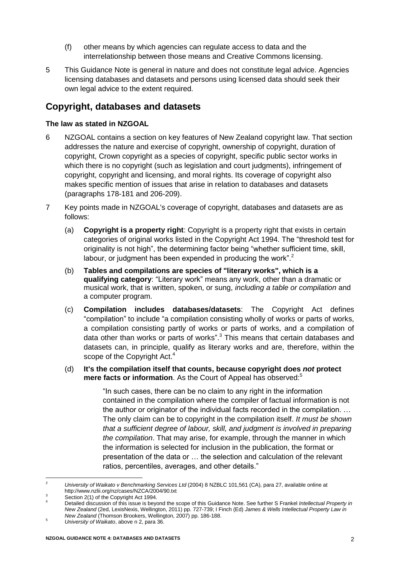- (f) other means by which agencies can regulate access to data and the interrelationship between those means and Creative Commons licensing.
- 5 This Guidance Note is general in nature and does not constitute legal advice. Agencies licensing databases and datasets and persons using licensed data should seek their own legal advice to the extent required.

## **Copyright, databases and datasets**

#### **The law as stated in NZGOAL**

- 6 NZGOAL contains a section on key features of New Zealand copyright law. That section addresses the nature and exercise of copyright, ownership of copyright, duration of copyright, Crown copyright as a species of copyright, specific public sector works in which there is no copyright (such as legislation and court judgments), infringement of copyright, copyright and licensing, and moral rights. Its coverage of copyright also makes specific mention of issues that arise in relation to databases and datasets (paragraphs 178-181 and 206-209).
- 7 Key points made in NZGOAL's coverage of copyright, databases and datasets are as follows:
	- (a) **Copyright is a property right**: Copyright is a property right that exists in certain categories of original works listed in the Copyright Act 1994. The "threshold test for originality is not high", the determining factor being "whether sufficient time, skill, labour, or judgment has been expended in producing the work". $2$
	- (b) **Tables and compilations are species of "literary works", which is a qualifying category**: "Literary work" means any work, other than a dramatic or musical work, that is written, spoken, or sung, *including a table or compilation* and a computer program.
	- (c) **Compilation includes databases/datasets**: The Copyright Act defines "compilation" to include "a compilation consisting wholly of works or parts of works, a compilation consisting partly of works or parts of works, and a compilation of data other than works or parts of works".<sup>3</sup> This means that certain databases and datasets can, in principle, qualify as literary works and are, therefore, within the scope of the Copyright Act.<sup>4</sup>
	- (d) **It's the compilation itself that counts, because copyright does** *not* **protect mere facts or information**. As the Court of Appeal has observed:<sup>5</sup>

<span id="page-4-0"></span>"In such cases, there can be no claim to any right in the information contained in the compilation where the compiler of factual information is not the author or originator of the individual facts recorded in the compilation. … The only claim can be to copyright in the compilation itself. *It must be shown that a sufficient degree of labour, skill, and judgment is involved in preparing the compilation*. That may arise, for example, through the manner in which the information is selected for inclusion in the publication, the format or presentation of the data or … the selection and calculation of the relevant ratios, percentiles, averages, and other details."

 $\overline{\phantom{a}}$ <sup>2</sup> *University of Waikato v Benchmarking Services Ltd* (2004) 8 NZBLC 101,561 (CA), para 27, available online at http://www.nzlii.org/nz/cases/NZCA/2004/90.txt

Section 2(1) of the Copyright Act 1994.

<sup>4</sup> Detailed discussion of this issue is beyond the scope of this Guidance Note. See further S Frankel *Intellectual Property in New Zealand* (2ed, LexisNexis, Wellington, 2011) pp. 727-739; I Finch (Ed) *James & Wells Intellectual Property Law in New Zealand* (Thomson Brookers, Wellington, 2007) pp. 186-188.

<sup>5</sup> *University of Waikato*, above [n 2,](#page-4-0) para 36.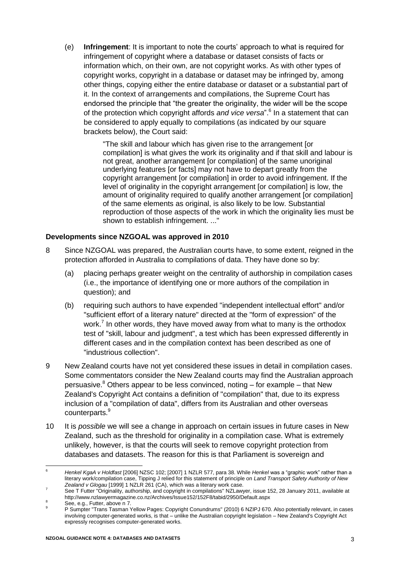(e) **Infringement**: It is important to note the courts' approach to what is required for infringement of copyright where a database or dataset consists of facts or information which, on their own, are not copyright works. As with other types of copyright works, copyright in a database or dataset may be infringed by, among other things, copying either the entire database or dataset or a substantial part of it. In the context of arrangements and compilations, the Supreme Court has endorsed the principle that "the greater the originality, the wider will be the scope of the protection which copyright affords *and vice versa*".<sup>6</sup> In a statement that can be considered to apply equally to compilations (as indicated by our square brackets below), the Court said:

> "The skill and labour which has given rise to the arrangement [or compilation] is what gives the work its originality and if that skill and labour is not great, another arrangement for compilation] of the same unoriginal underlying features [or facts] may not have to depart greatly from the copyright arrangement [or compilation] in order to avoid infringement. If the level of originality in the copyright arrangement [or compilation] is low, the amount of originality required to qualify another arrangement [or compilation] of the same elements as original, is also likely to be low. Substantial reproduction of those aspects of the work in which the originality lies must be shown to establish infringement. ..."

#### **Developments since NZGOAL was approved in 2010**

- 8 Since NZGOAL was prepared, the Australian courts have, to some extent, reigned in the protection afforded in Australia to compilations of data. They have done so by:
	- (a) placing perhaps greater weight on the centrality of authorship in compilation cases (i.e., the importance of identifying one or more authors of the compilation in question); and
	- (b) requiring such authors to have expended "independent intellectual effort" and/or "sufficient effort of a literary nature" directed at the "form of expression" of the work.<sup>7</sup> In other words, they have moved away from what to many is the orthodox test of "skill, labour and judgment", a test which has been expressed differently in different cases and in the compilation context has been described as one of "industrious collection".
- <span id="page-5-0"></span>9 New Zealand courts have not yet considered these issues in detail in compilation cases. Some commentators consider the New Zealand courts may find the Australian approach persuasive.<sup>8</sup> Others appear to be less convinced, noting – for example – that New Zealand's Copyright Act contains a definition of "compilation" that, due to its express inclusion of a "compilation of data", differs from its Australian and other overseas counterparts.<sup>9</sup>
- 10 It is *possible* we will see a change in approach on certain issues in future cases in New Zealand, such as the threshold for originality in a compilation case. What is extremely unlikely, however, is that the courts will seek to remove copyright protection from databases and datasets. The reason for this is that Parliament is sovereign and

 $\overline{a}$ <sup>6</sup> *Henkel KgaA v Holdfast* [2006] NZSC 102; [2007] 1 NZLR 577, para 38. While *Henkel* was a "graphic work" rather than a literary work/compilation case, Tipping J relied for this statement of principle on *Land Transport Safety Authority of New Zealand v Glogau* [1999] 1 NZLR 261 (CA), which was a literary work case.

<sup>7</sup> See T Futter "Originality, authorship, and copyright in compilations" NZLawyer, issue 152, 28 January 2011, available at http://www.nzlawyermagazine.co.nz/Archives/Issue152/152F8/tabid/2950/Default.aspx

See, e.g., Futter, above n [7.](#page-5-0)

<sup>9</sup> P Sumpter "Trans Tasman Yellow Pages: Copyright Conundrums" (2010) 6 NZIPJ 670. Also potentially relevant, in cases involving computer-generated works, is that – unlike the Australian copyright legislation – New Zealand's Copyright Act expressly recognises computer-generated works.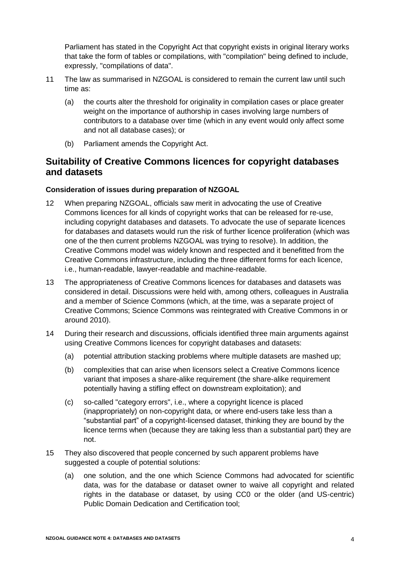Parliament has stated in the Copyright Act that copyright exists in original literary works that take the form of tables or compilations, with "compilation" being defined to include, expressly, "compilations of data".

- 11 The law as summarised in NZGOAL is considered to remain the current law until such time as:
	- (a) the courts alter the threshold for originality in compilation cases or place greater weight on the importance of authorship in cases involving large numbers of contributors to a database over time (which in any event would only affect some and not all database cases); or
	- (b) Parliament amends the Copyright Act.

## **Suitability of Creative Commons licences for copyright databases and datasets**

#### **Consideration of issues during preparation of NZGOAL**

- 12 When preparing NZGOAL, officials saw merit in advocating the use of Creative Commons licences for all kinds of copyright works that can be released for re-use, including copyright databases and datasets. To advocate the use of separate licences for databases and datasets would run the risk of further licence proliferation (which was one of the then current problems NZGOAL was trying to resolve). In addition, the Creative Commons model was widely known and respected and it benefitted from the Creative Commons infrastructure, including the three different forms for each licence, i.e., human-readable, lawyer-readable and machine-readable.
- 13 The appropriateness of Creative Commons licences for databases and datasets was considered in detail. Discussions were held with, among others, colleagues in Australia and a member of Science Commons (which, at the time, was a separate project of Creative Commons; Science Commons was reintegrated with Creative Commons in or around 2010).
- 14 During their research and discussions, officials identified three main arguments against using Creative Commons licences for copyright databases and datasets:
	- (a) potential attribution stacking problems where multiple datasets are mashed up;
	- (b) complexities that can arise when licensors select a Creative Commons licence variant that imposes a share-alike requirement (the share-alike requirement potentially having a stifling effect on downstream exploitation); and
	- (c) so-called "category errors", i.e., where a copyright licence is placed (inappropriately) on non-copyright data, or where end-users take less than a "substantial part" of a copyright-licensed dataset, thinking they are bound by the licence terms when (because they are taking less than a substantial part) they are not.
- 15 They also discovered that people concerned by such apparent problems have suggested a couple of potential solutions:
	- (a) one solution, and the one which Science Commons had advocated for scientific data, was for the database or dataset owner to waive all copyright and related rights in the database or dataset, by using CC0 or the older (and US-centric) Public Domain Dedication and Certification tool;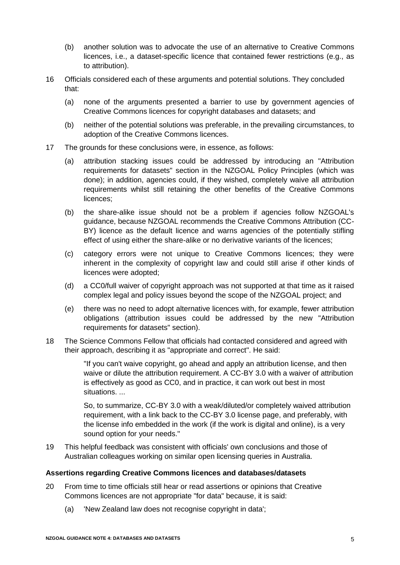- (b) another solution was to advocate the use of an alternative to Creative Commons licences, i.e., a dataset-specific licence that contained fewer restrictions (e.g., as to attribution).
- 16 Officials considered each of these arguments and potential solutions. They concluded that:
	- (a) none of the arguments presented a barrier to use by government agencies of Creative Commons licences for copyright databases and datasets; and
	- (b) neither of the potential solutions was preferable, in the prevailing circumstances, to adoption of the Creative Commons licences.
- <span id="page-7-0"></span>17 The grounds for these conclusions were, in essence, as follows:
	- (a) attribution stacking issues could be addressed by introducing an "Attribution requirements for datasets" section in the NZGOAL Policy Principles (which was done); in addition, agencies could, if they wished, completely waive all attribution requirements whilst still retaining the other benefits of the Creative Commons licences;
	- (b) the share-alike issue should not be a problem if agencies follow NZGOAL's guidance, because NZGOAL recommends the Creative Commons Attribution (CC-BY) licence as the default licence and warns agencies of the potentially stifling effect of using either the share-alike or no derivative variants of the licences;
	- (c) category errors were not unique to Creative Commons licences; they were inherent in the complexity of copyright law and could still arise if other kinds of licences were adopted;
	- (d) a CC0/full waiver of copyright approach was not supported at that time as it raised complex legal and policy issues beyond the scope of the NZGOAL project; and
	- (e) there was no need to adopt alternative licences with, for example, fewer attribution obligations (attribution issues could be addressed by the new "Attribution requirements for datasets" section).
- 18 The Science Commons Fellow that officials had contacted considered and agreed with their approach, describing it as "appropriate and correct". He said:

"If you can't waive copyright, go ahead and apply an attribution license, and then waive or dilute the attribution requirement. A CC-BY 3.0 with a waiver of attribution is effectively as good as CC0, and in practice, it can work out best in most situations. ...

So, to summarize, CC-BY 3.0 with a weak/diluted/or completely waived attribution requirement, with a link back to the CC-BY 3.0 license page, and preferably, with the license info embedded in the work (if the work is digital and online), is a very sound option for your needs."

19 This helpful feedback was consistent with officials' own conclusions and those of Australian colleagues working on similar open licensing queries in Australia.

#### **Assertions regarding Creative Commons licences and databases/datasets**

- 20 From time to time officials still hear or read assertions or opinions that Creative Commons licences are not appropriate "for data" because, it is said:
	- (a) 'New Zealand law does not recognise copyright in data';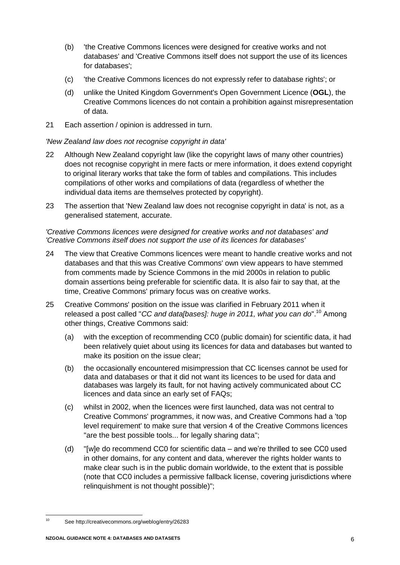- (b) 'the Creative Commons licences were designed for creative works and not databases' and 'Creative Commons itself does not support the use of its licences for databases';
- (c) 'the Creative Commons licences do not expressly refer to database rights'; or
- (d) unlike the United Kingdom Government's Open Government Licence (**OGL**), the Creative Commons licences do not contain a prohibition against misrepresentation of data.
- 21 Each assertion / opinion is addressed in turn.

#### *'New Zealand law does not recognise copyright in data'*

- 22 Although New Zealand copyright law (like the copyright laws of many other countries) does not recognise copyright in mere facts or mere information, it does extend copyright to original literary works that take the form of tables and compilations. This includes compilations of other works and compilations of data (regardless of whether the individual data items are themselves protected by copyright).
- 23 The assertion that 'New Zealand law does not recognise copyright in data' is not, as a generalised statement, accurate.

#### *'Creative Commons licences were designed for creative works and not databases' and 'Creative Commons itself does not support the use of its licences for databases'*

- 24 The view that Creative Commons licences were meant to handle creative works and not databases and that this was Creative Commons' own view appears to have stemmed from comments made by Science Commons in the mid 2000s in relation to public domain assertions being preferable for scientific data. It is also fair to say that, at the time, Creative Commons' primary focus was on creative works.
- 25 Creative Commons' position on the issue was clarified in February 2011 when it released a post called "*CC and data[bases]: huge in 2011, what you can do*".<sup>10</sup> Among other things, Creative Commons said:
	- (a) with the exception of recommending CC0 (public domain) for scientific data, it had been relatively quiet about using its licences for data and databases but wanted to make its position on the issue clear;
	- (b) the occasionally encountered misimpression that CC licenses cannot be used for data and databases or that it did not want its licences to be used for data and databases was largely its fault, for not having actively communicated about CC licences and data since an early set of FAQs;
	- (c) whilst in 2002, when the licences were first launched, data was not central to Creative Commons' programmes, it now was, and Creative Commons had a 'top level requirement' to make sure that version 4 of the Creative Commons licences "are the best possible tools... for legally sharing data";
	- (d) "[w]e do recommend CC0 for scientific data and we're thrilled to see CC0 used in other domains, for any content and data, wherever the rights holder wants to make clear such is in the public domain worldwide, to the extent that is possible (note that CC0 includes a permissive fallback license, covering jurisdictions where relinquishment is not thought possible)";

 $10$ See http://creativecommons.org/weblog/entry/26283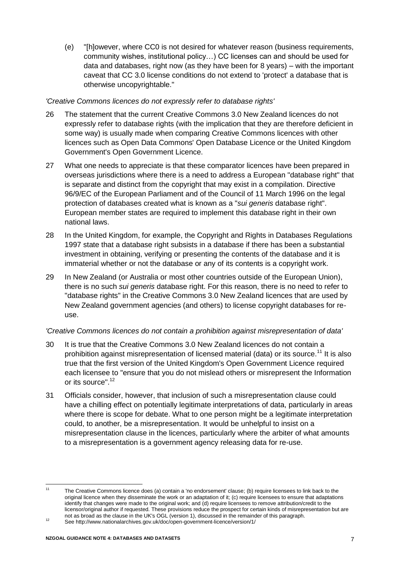(e) "[h]owever, where CC0 is not desired for whatever reason (business requirements, community wishes, institutional policy…) CC licenses can and should be used for data and databases, right now (as they have been for 8 years) – with the important caveat that CC 3.0 license conditions do not extend to 'protect' a database that is otherwise uncopyrightable."

#### *'Creative Commons licences do not expressly refer to database rights'*

- 26 The statement that the current Creative Commons 3.0 New Zealand licences do not expressly refer to database rights (with the implication that they are therefore deficient in some way) is usually made when comparing Creative Commons licences with other licences such as Open Data Commons' Open Database Licence or the United Kingdom Government's Open Government Licence.
- 27 What one needs to appreciate is that these comparator licences have been prepared in overseas jurisdictions where there is a need to address a European "database right" that is separate and distinct from the copyright that may exist in a compilation. Directive 96/9/EC of the European Parliament and of the Council of 11 March 1996 on the legal protection of databases created what is known as a "*sui generis* database right". European member states are required to implement this database right in their own national laws.
- 28 In the United Kingdom, for example, the Copyright and Rights in Databases Regulations 1997 state that a database right subsists in a database if there has been a substantial investment in obtaining, verifying or presenting the contents of the database and it is immaterial whether or not the database or any of its contents is a copyright work.
- 29 In New Zealand (or Australia or most other countries outside of the European Union), there is no such *sui generis* database right. For this reason, there is no need to refer to "database rights" in the Creative Commons 3.0 New Zealand licences that are used by New Zealand government agencies (and others) to license copyright databases for reuse.

#### *'Creative Commons licences do not contain a prohibition against misrepresentation of data'*

- 30 It is true that the Creative Commons 3.0 New Zealand licences do not contain a prohibition against misrepresentation of licensed material (data) or its source.<sup>11</sup> It is also true that the first version of the United Kingdom's Open Government Licence required each licensee to "ensure that you do not mislead others or misrepresent the Information or its source".<sup>12</sup>
- <span id="page-9-0"></span>31 Officials consider, however, that inclusion of such a misrepresentation clause could have a chilling effect on potentially legitimate interpretations of data, particularly in areas where there is scope for debate. What to one person might be a legitimate interpretation could, to another, be a misrepresentation. It would be unhelpful to insist on a misrepresentation clause in the licences, particularly where the arbiter of what amounts to a misrepresentation is a government agency releasing data for re-use.

 $11$ The Creative Commons licence does (a) contain a 'no endorsement' clause; (b) require licensees to link back to the original licence when they disseminate the work or an adaptation of it; (c) require licensees to ensure that adaptations identify that changes were made to the original work; and (d) require licensees to remove attribution/credit to the licensor/original author if requested. These provisions reduce the prospect for certain kinds of misrepresentation but are not as broad as the clause in the UK's OGL (version 1), discussed in the remainder of this paragraph.

<sup>12&</sup>lt;br>
12 See http://www.nationalarchives.gov.uk/doc/open-government-licence/version/1/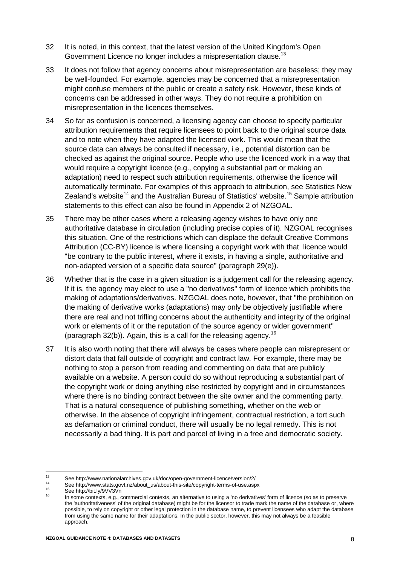- 32 It is noted, in this context, that the latest version of the United Kingdom's Open Government Licence no longer includes a mispresentation clause.<sup>13</sup>
- 33 It does not follow that agency concerns about misrepresentation are baseless; they may be well-founded. For example, agencies may be concerned that a misrepresentation might confuse members of the public or create a safety risk. However, these kinds of concerns can be addressed in other ways. They do not require a prohibition on misrepresentation in the licences themselves.
- 34 So far as confusion is concerned, a licensing agency can choose to specify particular attribution requirements that require licensees to point back to the original source data and to note when they have adapted the licensed work. This would mean that the source data can always be consulted if necessary, i.e., potential distortion can be checked as against the original source. People who use the licenced work in a way that would require a copyright licence (e.g., copying a substantial part or making an adaptation) need to respect such attribution requirements, otherwise the licence will automatically terminate. For examples of this approach to attribution, see Statistics New Zealand's website<sup>14</sup> and the Australian Bureau of Statistics' website.<sup>15</sup> Sample attribution statements to this effect can also be found in Appendix 2 of NZGOAL.
- 35 There may be other cases where a releasing agency wishes to have only one authoritative database in circulation (including precise copies of it). NZGOAL recognises this situation. One of the restrictions which can displace the default Creative Commons Attribution (CC-BY) licence is where licensing a copyright work with that licence would "be contrary to the public interest, where it exists, in having a single, authoritative and non-adapted version of a specific data source" (paragraph 29(e)).
- 36 Whether that is the case in a given situation is a judgement call for the releasing agency. If it is, the agency may elect to use a "no derivatives" form of licence which prohibits the making of adaptations/derivatives. NZGOAL does note, however, that "the prohibition on the making of derivative works (adaptations) may only be objectively justifiable where there are real and not trifling concerns about the authenticity and integrity of the original work or elements of it or the reputation of the source agency or wider government" (paragraph  $32(b)$ ). Again, this is a call for the releasing agency.<sup>16</sup>
- <span id="page-10-0"></span>37 It is also worth noting that there will always be cases where people can misrepresent or distort data that fall outside of copyright and contract law. For example, there may be nothing to stop a person from reading and commenting on data that are publicly available on a website. A person could do so without reproducing a substantial part of the copyright work or doing anything else restricted by copyright and in circumstances where there is no binding contract between the site owner and the commenting party. That is a natural consequence of publishing something, whether on the web or otherwise. In the absence of copyright infringement, contractual restriction, a tort such as defamation or criminal conduct, there will usually be no legal remedy. This is not necessarily a bad thing. It is part and parcel of living in a free and democratic society.

 $13$ <sup>13</sup> See http://www.nationalarchives.gov.uk/doc/open-government-licence/version/2/

<sup>&</sup>lt;sup>14</sup> See http://www.stats.govt.nz/about\_us/about-this-site/copyright-terms-of-use.aspx<br><sup>15</sup>

 $^{15}$  See http://bit.ly/9VV3Vn

In some contexts, e.g., commercial contexts, an alternative to using a 'no derivatives' form of licence (so as to preserve the 'authoritativeness' of the original database) might be for the licensor to trade mark the name of the database or, where possible, to rely on copyright or other legal protection in the database name, to prevent licensees who adapt the database from using the same name for their adaptations. In the public sector, however, this may not always be a feasible approach.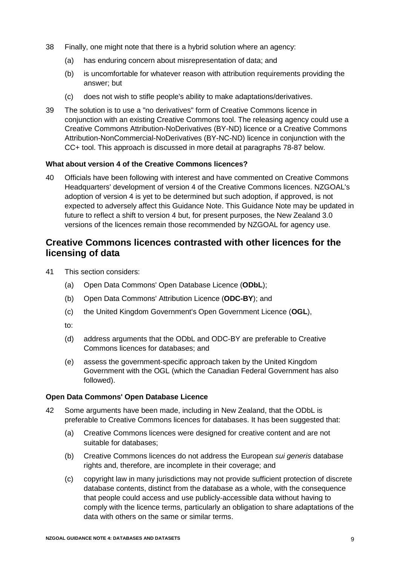- 38 Finally, one might note that there is a hybrid solution where an agency:
	- (a) has enduring concern about misrepresentation of data; and
	- (b) is uncomfortable for whatever reason with attribution requirements providing the answer; but
	- (c) does not wish to stifle people's ability to make adaptations/derivatives.
- 39 The solution is to use a "no derivatives" form of Creative Commons licence in conjunction with an existing Creative Commons tool. The releasing agency could use a Creative Commons Attribution-NoDerivatives (BY-ND) licence or a Creative Commons Attribution-NonCommercial-NoDerivatives (BY-NC-ND) licence in conjunction with the CC+ tool. This approach is discussed in more detail at paragraphs [78](#page-19-0)[-87](#page-20-0) below.

#### **What about version 4 of the Creative Commons licences?**

40 Officials have been following with interest and have commented on Creative Commons Headquarters' development of version 4 of the Creative Commons licences. NZGOAL's adoption of version 4 is yet to be determined but such adoption, if approved, is not expected to adversely affect this Guidance Note. This Guidance Note may be updated in future to reflect a shift to version 4 but, for present purposes, the New Zealand 3.0 versions of the licences remain those recommended by NZGOAL for agency use.

### **Creative Commons licences contrasted with other licences for the licensing of data**

- 41 This section considers:
	- (a) Open Data Commons' Open Database Licence (**ODbL**);
	- (b) Open Data Commons' Attribution Licence (**ODC-BY**); and
	- (c) the United Kingdom Government's Open Government Licence (**OGL**),
	- to:
	- (d) address arguments that the ODbL and ODC-BY are preferable to Creative Commons licences for databases; and
	- (e) assess the government-specific approach taken by the United Kingdom Government with the OGL (which the Canadian Federal Government has also followed).

#### **Open Data Commons' Open Database Licence**

- 42 Some arguments have been made, including in New Zealand, that the ODbL is preferable to Creative Commons licences for databases. It has been suggested that:
	- (a) Creative Commons licences were designed for creative content and are not suitable for databases;
	- (b) Creative Commons licences do not address the European *sui generis* database rights and, therefore, are incomplete in their coverage; and
	- (c) copyright law in many jurisdictions may not provide sufficient protection of discrete database contents, distinct from the database as a whole, with the consequence that people could access and use publicly-accessible data without having to comply with the licence terms, particularly an obligation to share adaptations of the data with others on the same or similar terms.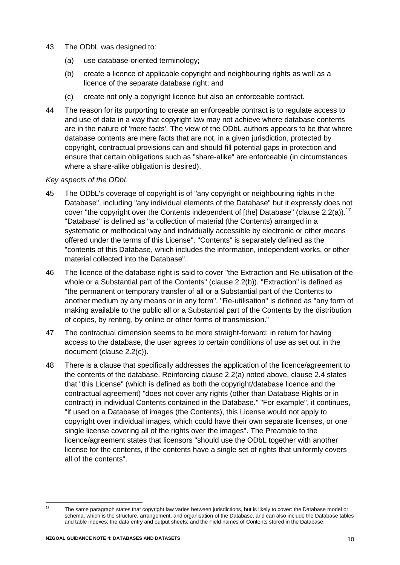- 43 The ODbL was designed to:
	- (a) use database-oriented terminology;
	- (b) create a licence of applicable copyright and neighbouring rights as well as a licence of the separate database right; and
	- (c) create not only a copyright licence but also an enforceable contract.
- 44 The reason for its purporting to create an enforceable contract is to regulate access to and use of data in a way that copyright law may not achieve where database contents are in the nature of 'mere facts'. The view of the ODbL authors appears to be that where database contents are mere facts that are not, in a given jurisdiction, protected by copyright, contractual provisions can and should fill potential gaps in protection and ensure that certain obligations such as "share-alike" are enforceable (in circumstances where a share-alike obligation is desired).

#### *Key aspects of the ODbL*

- 45 The ODbL's coverage of copyright is of "any copyright or neighbouring rights in the Database", including "any individual elements of the Database" but it expressly does not cover "the copyright over the Contents independent of [the] Database" (clause 2.2(a)).<sup>17</sup> "Database" is defined as "a collection of material (the Contents) arranged in a systematic or methodical way and individually accessible by electronic or other means offered under the terms of this License". "Contents" is separately defined as the "contents of this Database, which includes the information, independent works, or other material collected into the Database".
- 46 The licence of the database right is said to cover "the Extraction and Re-utilisation of the whole or a Substantial part of the Contents" (clause 2.2(b)). "Extraction" is defined as "the permanent or temporary transfer of all or a Substantial part of the Contents to another medium by any means or in any form". "Re-utilisation" is defined as "any form of making available to the public all or a Substantial part of the Contents by the distribution of copies, by renting, by online or other forms of transmission."
- 47 The contractual dimension seems to be more straight-forward: in return for having access to the database, the user agrees to certain conditions of use as set out in the document (clause 2.2(c)).
- 48 There is a clause that specifically addresses the application of the licence/agreement to the contents of the database. Reinforcing clause 2.2(a) noted above, clause 2.4 states that "this License" (which is defined as both the copyright/database licence and the contractual agreement) "does not cover any rights (other than Database Rights or in contract) in individual Contents contained in the Database." "For example", it continues, "if used on a Database of images (the Contents), this License would not apply to copyright over individual images, which could have their own separate licenses, or one single license covering all of the rights over the images". The Preamble to the licence/agreement states that licensors "should use the ODbL together with another license for the contents, if the contents have a single set of rights that uniformly covers all of the contents".

 $17$ The same paragraph states that copyright law varies between jurisdictions, but is likely to cover: the Database model or schema, which is the structure, arrangement, and organisation of the Database, and can also include the Database tables and table indexes; the data entry and output sheets; and the Field names of Contents stored in the Database.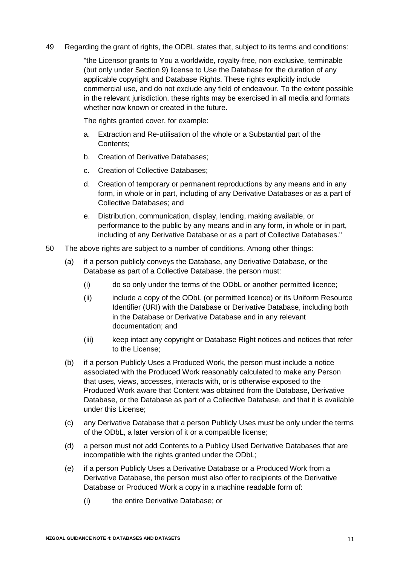#### 49 Regarding the grant of rights, the ODBL states that, subject to its terms and conditions:

"the Licensor grants to You a worldwide, royalty-free, non-exclusive, terminable (but only under Section 9) license to Use the Database for the duration of any applicable copyright and Database Rights. These rights explicitly include commercial use, and do not exclude any field of endeavour. To the extent possible in the relevant jurisdiction, these rights may be exercised in all media and formats whether now known or created in the future.

The rights granted cover, for example:

- a. Extraction and Re-utilisation of the whole or a Substantial part of the Contents;
- b. Creation of Derivative Databases;
- c. Creation of Collective Databases;
- d. Creation of temporary or permanent reproductions by any means and in any form, in whole or in part, including of any Derivative Databases or as a part of Collective Databases; and
- e. Distribution, communication, display, lending, making available, or performance to the public by any means and in any form, in whole or in part, including of any Derivative Database or as a part of Collective Databases."
- 50 The above rights are subject to a number of conditions. Among other things:
	- (a) if a person publicly conveys the Database, any Derivative Database, or the Database as part of a Collective Database, the person must:
		- (i) do so only under the terms of the ODbL or another permitted licence;
		- (ii) include a copy of the ODbL (or permitted licence) or its Uniform Resource Identifier (URI) with the Database or Derivative Database, including both in the Database or Derivative Database and in any relevant documentation; and
		- (iii) keep intact any copyright or Database Right notices and notices that refer to the License;
	- (b) if a person Publicly Uses a Produced Work, the person must include a notice associated with the Produced Work reasonably calculated to make any Person that uses, views, accesses, interacts with, or is otherwise exposed to the Produced Work aware that Content was obtained from the Database, Derivative Database, or the Database as part of a Collective Database, and that it is available under this License;
	- (c) any Derivative Database that a person Publicly Uses must be only under the terms of the ODbL, a later version of it or a compatible license;
	- (d) a person must not add Contents to a Publicy Used Derivative Databases that are incompatible with the rights granted under the ODbL;
	- (e) if a person Publicly Uses a Derivative Database or a Produced Work from a Derivative Database, the person must also offer to recipients of the Derivative Database or Produced Work a copy in a machine readable form of:
		- (i) the entire Derivative Database; or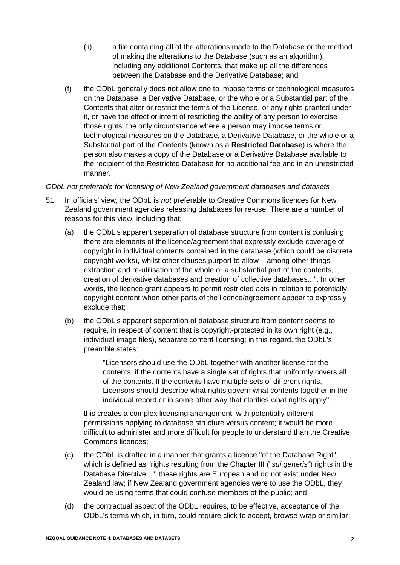- (ii) a file containing all of the alterations made to the Database or the method of making the alterations to the Database (such as an algorithm), including any additional Contents, that make up all the differences between the Database and the Derivative Database; and
- (f) the ODbL generally does not allow one to impose terms or technological measures on the Database, a Derivative Database, or the whole or a Substantial part of the Contents that alter or restrict the terms of the License, or any rights granted under it, or have the effect or intent of restricting the ability of any person to exercise those rights; the only circumstance where a person may impose terms or technological measures on the Database, a Derivative Database, or the whole or a Substantial part of the Contents (known as a **Restricted Database**) is where the person also makes a copy of the Database or a Derivative Database available to the recipient of the Restricted Database for no additional fee and in an unrestricted manner.

#### *ODbL not preferable for licensing of New Zealand government databases and datasets*

- 51 In officials' view, the ODbL is *not* preferable to Creative Commons licences for New Zealand government agencies releasing databases for re-use. There are a number of reasons for this view, including that:
	- (a) the ODbL's apparent separation of database structure from content is confusing; there are elements of the licence/agreement that expressly exclude coverage of copyright in individual contents contained in the database (which could be discrete copyright works), whilst other clauses purport to allow – among other things – extraction and re-utilisation of the whole or a substantial part of the contents, creation of derivative databases and creation of collective databases...". In other words, the licence grant appears to permit restricted acts in relation to potentially copyright content when other parts of the licence/agreement appear to expressly exclude that;
	- (b) the ODbL's apparent separation of database structure from content seems to require, in respect of content that is copyright-protected in its own right (e.g., individual image files), separate content licensing; in this regard, the ODbL's preamble states:

"Licensors should use the ODbL together with another license for the contents, if the contents have a single set of rights that uniformly covers all of the contents. If the contents have multiple sets of different rights, Licensors should describe what rights govern what contents together in the individual record or in some other way that clarifies what rights apply";

this creates a complex licensing arrangement, with potentially different permissions applying to database structure versus content; it would be more difficult to administer and more difficult for people to understand than the Creative Commons licences;

- (c) the ODbL is drafted in a manner that grants a licence "of the Database Right" which is defined as "rights resulting from the Chapter III ("*sui generis*") rights in the Database Directive..."; these rights are European and do not exist under New Zealand law; if New Zealand government agencies were to use the ODbL, they would be using terms that could confuse members of the public; and
- (d) the contractual aspect of the ODbL requires, to be effective, acceptance of the ODbL's terms which, in turn, could require click to accept, browse-wrap or similar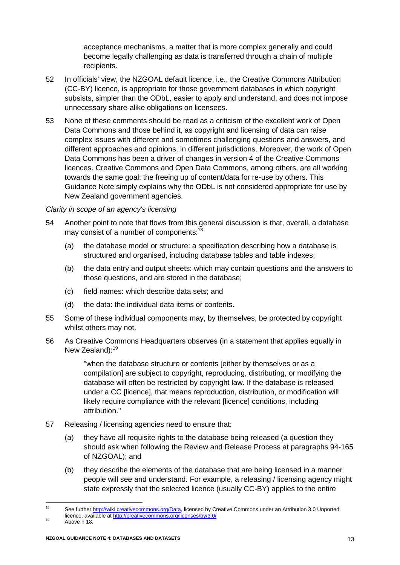acceptance mechanisms, a matter that is more complex generally and could become legally challenging as data is transferred through a chain of multiple recipients.

- 52 In officials' view, the NZGOAL default licence, i.e., the Creative Commons Attribution (CC-BY) licence, is appropriate for those government databases in which copyright subsists, simpler than the ODbL, easier to apply and understand, and does not impose unnecessary share-alike obligations on licensees.
- 53 None of these comments should be read as a criticism of the excellent work of Open Data Commons and those behind it, as copyright and licensing of data can raise complex issues with different and sometimes challenging questions and answers, and different approaches and opinions, in different jurisdictions. Moreover, the work of Open Data Commons has been a driver of changes in version 4 of the Creative Commons licences. Creative Commons and Open Data Commons, among others, are all working towards the same goal: the freeing up of content/data for re-use by others. This Guidance Note simply explains why the ODbL is not considered appropriate for use by New Zealand government agencies.

#### *Clarity in scope of an agency's licensing*

- <span id="page-15-0"></span>54 Another point to note that flows from this general discussion is that, overall, a database may consist of a number of components:<sup>18</sup>
	- (a) the database model or structure: a specification describing how a database is structured and organised, including database tables and table indexes;
	- (b) the data entry and output sheets: which may contain questions and the answers to those questions, and are stored in the database;
	- (c) field names: which describe data sets; and
	- (d) the data: the individual data items or contents.
- 55 Some of these individual components may, by themselves, be protected by copyright whilst others may not.
- 56 As Creative Commons Headquarters observes (in a statement that applies equally in New Zealand):<sup>19</sup>

"when the database structure or contents [either by themselves or as a compilation] are subject to copyright, reproducing, distributing, or modifying the database will often be restricted by copyright law. If the database is released under a CC [licence], that means reproduction, distribution, or modification will likely require compliance with the relevant [licence] conditions, including attribution."

- 57 Releasing / licensing agencies need to ensure that:
	- (a) they have all requisite rights to the database being released (a question they should ask when following the Review and Release Process at paragraphs 94-165 of NZGOAL); and
	- (b) they describe the elements of the database that are being licensed in a manner people will see and understand. For example, a releasing / licensing agency might state expressly that the selected licence (usually CC-BY) applies to the entire

<sup>18</sup> See further [http://wiki.creativecommons.org/Data,](http://wiki.creativecommons.org/Data) licensed by Creative Commons under an Attribution 3.0 Unported licence, available a[t http://creativecommons.org/licenses/by/3.0/](http://creativecommons.org/licenses/by/3.0/)

 $19$  Above n [18.](#page-15-0)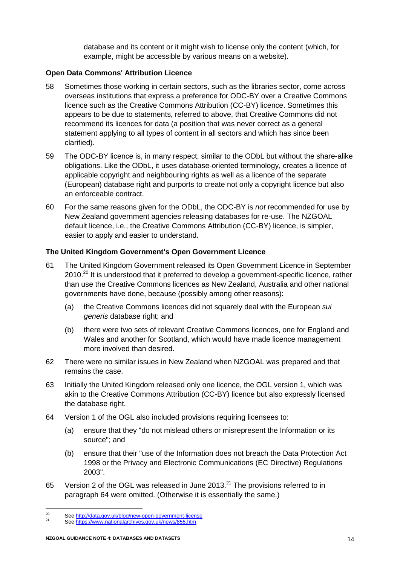database and its content or it might wish to license only the content (which, for example, might be accessible by various means on a website).

#### **Open Data Commons' Attribution Licence**

- 58 Sometimes those working in certain sectors, such as the libraries sector, come across overseas institutions that express a preference for ODC-BY over a Creative Commons licence such as the Creative Commons Attribution (CC-BY) licence. Sometimes this appears to be due to statements, referred to above, that Creative Commons did not recommend its licences for data (a position that was never correct as a general statement applying to all types of content in all sectors and which has since been clarified).
- 59 The ODC-BY licence is, in many respect, similar to the ODbL but without the share-alike obligations. Like the ODbL, it uses database-oriented terminology, creates a licence of applicable copyright and neighbouring rights as well as a licence of the separate (European) database right and purports to create not only a copyright licence but also an enforceable contract.
- 60 For the same reasons given for the ODbL, the ODC-BY is *not* recommended for use by New Zealand government agencies releasing databases for re-use. The NZGOAL default licence, i.e., the Creative Commons Attribution (CC-BY) licence, is simpler, easier to apply and easier to understand.

#### **The United Kingdom Government's Open Government Licence**

- 61 The United Kingdom Government released its Open Government Licence in September 2010.<sup>20</sup> It is understood that it preferred to develop a government-specific licence, rather than use the Creative Commons licences as New Zealand, Australia and other national governments have done, because (possibly among other reasons):
	- (a) the Creative Commons licences did not squarely deal with the European *sui generis* database right; and
	- (b) there were two sets of relevant Creative Commons licences, one for England and Wales and another for Scotland, which would have made licence management more involved than desired.
- 62 There were no similar issues in New Zealand when NZGOAL was prepared and that remains the case.
- 63 Initially the United Kingdom released only one licence, the OGL version 1, which was akin to the Creative Commons Attribution (CC-BY) licence but also expressly licensed the database right.
- <span id="page-16-0"></span>64 Version 1 of the OGL also included provisions requiring licensees to:
	- (a) ensure that they "do not mislead others or misrepresent the Information or its source"; and
	- (b) ensure that their "use of the Information does not breach the Data Protection Act 1998 or the Privacy and Electronic Communications (EC Directive) Regulations 2003".
- 65 Version 2 of the OGL was released in June 2013.<sup>21</sup> The provisions referred to in paragraph [64](#page-16-0) were omitted. (Otherwise it is essentially the same.)

<sup>20</sup> <sup>20</sup> See<http://data.gov.uk/blog/new-open-government-license>

See<https://www.nationalarchives.gov.uk/news/855.htm>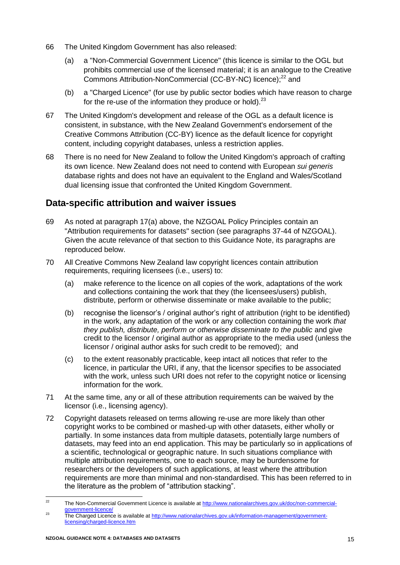- 66 The United Kingdom Government has also released:
	- (a) a "Non-Commercial Government Licence" (this licence is similar to the OGL but prohibits commercial use of the licensed material; it is an analogue to the Creative Commons Attribution-NonCommercial (CC-BY-NC) licence);<sup>22</sup> and
	- (b) a "Charged Licence" (for use by public sector bodies which have reason to charge for the re-use of the information they produce or hold).<sup>23</sup>
- 67 The United Kingdom's development and release of the OGL as a default licence is consistent, in substance, with the New Zealand Government's endorsement of the Creative Commons Attribution (CC-BY) licence as the default licence for copyright content, including copyright databases, unless a restriction applies.
- 68 There is no need for New Zealand to follow the United Kingdom's approach of crafting its own licence. New Zealand does not need to contend with European *sui generis*  database rights and does not have an equivalent to the England and Wales/Scotland dual licensing issue that confronted the United Kingdom Government.

# **Data-specific attribution and waiver issues**

- 69 As noted at paragraph [17\(a\)](#page-7-0) above, the NZGOAL Policy Principles contain an "Attribution requirements for datasets" section (see paragraphs 37-44 of NZGOAL). Given the acute relevance of that section to this Guidance Note, its paragraphs are reproduced below.
- 70 All Creative Commons New Zealand law copyright licences contain attribution requirements, requiring licensees (i.e., users) to:
	- (a) make reference to the licence on all copies of the work, adaptations of the work and collections containing the work that they (the licensees/users) publish, distribute, perform or otherwise disseminate or make available to the public;
	- (b) recognise the licensor's / original author's right of attribution (right to be identified) in the work, any adaptation of the work or any collection containing the work *that they publish, distribute, perform or otherwise disseminate to the public* and give credit to the licensor / original author as appropriate to the media used (unless the licensor / original author asks for such credit to be removed); and
	- (c) to the extent reasonably practicable, keep intact all notices that refer to the licence, in particular the URI, if any, that the licensor specifies to be associated with the work, unless such URI does not refer to the copyright notice or licensing information for the work.
- 71 At the same time, any or all of these attribution requirements can be waived by the licensor (i.e., licensing agency).
- 72 Copyright datasets released on terms allowing re-use are more likely than other copyright works to be combined or mashed-up with other datasets, either wholly or partially. In some instances data from multiple datasets, potentially large numbers of datasets, may feed into an end application. This may be particularly so in applications of a scientific, technological or geographic nature. In such situations compliance with multiple attribution requirements, one to each source, may be burdensome for researchers or the developers of such applications, at least where the attribution requirements are more than minimal and non-standardised. This has been referred to in the literature as the problem of "attribution stacking".

 $\overline{22}$ <sup>22</sup> The Non-Commercial Government Licence is available a[t http://www.nationalarchives.gov.uk/doc/non-commercial](http://www.nationalarchives.gov.uk/doc/non-commercial-government-licence/)[government-licence/](http://www.nationalarchives.gov.uk/doc/non-commercial-government-licence/)

<sup>&</sup>lt;sup>23</sup> The Charged Licence is available at [http://www.nationalarchives.gov.uk/information-management/government](http://www.nationalarchives.gov.uk/information-management/government-licensing/charged-licence.htm)[licensing/charged-licence.htm](http://www.nationalarchives.gov.uk/information-management/government-licensing/charged-licence.htm)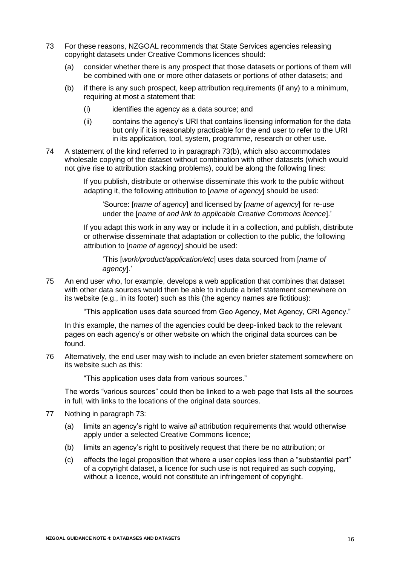- <span id="page-18-1"></span><span id="page-18-0"></span>73 For these reasons, NZGOAL recommends that State Services agencies releasing copyright datasets under Creative Commons licences should:
	- (a) consider whether there is any prospect that those datasets or portions of them will be combined with one or more other datasets or portions of other datasets; and
	- (b) if there is any such prospect, keep attribution requirements (if any) to a minimum, requiring at most a statement that:
		- (i) identifies the agency as a data source; and
		- (ii) contains the agency's URI that contains licensing information for the data but only if it is reasonably practicable for the end user to refer to the URI in its application, tool, system, programme, research or other use.
- 74 A statement of the kind referred to in paragraph [73\(b\),](#page-18-0) which also accommodates wholesale copying of the dataset without combination with other datasets (which would not give rise to attribution stacking problems), could be along the following lines:

If you publish, distribute or otherwise disseminate this work to the public without adapting it, the following attribution to [*name of agency*] should be used:

'Source: [*name of agency*] and licensed by [*name of agency*] for re-use under the [*name of and link to applicable Creative Commons licence*].'

If you adapt this work in any way or include it in a collection, and publish, distribute or otherwise disseminate that adaptation or collection to the public, the following attribution to [*name of agency*] should be used:

'This [*work/product/application/etc*] uses data sourced from [*name of agency*].'

75 An end user who, for example, develops a web application that combines that dataset with other data sources would then be able to include a brief statement somewhere on its website (e.g., in its footer) such as this (the agency names are fictitious):

"This application uses data sourced from Geo Agency, Met Agency, CRI Agency."

In this example, the names of the agencies could be deep-linked back to the relevant pages on each agency's or other website on which the original data sources can be found.

76 Alternatively, the end user may wish to include an even briefer statement somewhere on its website such as this:

"This application uses data from various sources."

The words "various sources" could then be linked to a web page that lists all the sources in full, with links to the locations of the original data sources.

- 77 Nothing in paragraph [73:](#page-18-1)
	- (a) limits an agency's right to waive *all* attribution requirements that would otherwise apply under a selected Creative Commons licence;
	- (b) limits an agency's right to positively request that there be no attribution; or
	- (c) affects the legal proposition that where a user copies less than a "substantial part" of a copyright dataset, a licence for such use is not required as such copying, without a licence, would not constitute an infringement of copyright.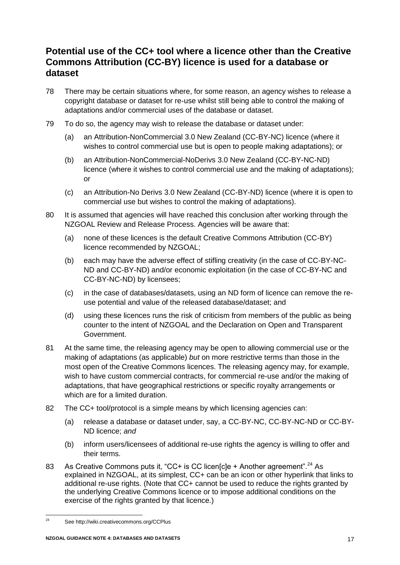# **Potential use of the CC+ tool where a licence other than the Creative Commons Attribution (CC-BY) licence is used for a database or dataset**

- <span id="page-19-0"></span>78 There may be certain situations where, for some reason, an agency wishes to release a copyright database or dataset for re-use whilst still being able to control the making of adaptations and/or commercial uses of the database or dataset.
- 79 To do so, the agency may wish to release the database or dataset under:
	- (a) an Attribution-NonCommercial 3.0 New Zealand (CC-BY-NC) licence (where it wishes to control commercial use but is open to people making adaptations); or
	- (b) an Attribution-NonCommercial-NoDerivs 3.0 New Zealand (CC-BY-NC-ND) licence (where it wishes to control commercial use and the making of adaptations); or
	- (c) an Attribution-No Derivs 3.0 New Zealand (CC-BY-ND) licence (where it is open to commercial use but wishes to control the making of adaptations).
- 80 It is assumed that agencies will have reached this conclusion after working through the NZGOAL Review and Release Process. Agencies will be aware that:
	- (a) none of these licences is the default Creative Commons Attribution (CC-BY) licence recommended by NZGOAL;
	- (b) each may have the adverse effect of stifling creativity (in the case of CC-BY-NC-ND and CC-BY-ND) and/or economic exploitation (in the case of CC-BY-NC and CC-BY-NC-ND) by licensees;
	- (c) in the case of databases/datasets, using an ND form of licence can remove the reuse potential and value of the released database/dataset; and
	- (d) using these licences runs the risk of criticism from members of the public as being counter to the intent of NZGOAL and the Declaration on Open and Transparent Government.
- 81 At the same time, the releasing agency may be open to allowing commercial use or the making of adaptations (as applicable) *but* on more restrictive terms than those in the most open of the Creative Commons licences. The releasing agency may, for example, wish to have custom commercial contracts, for commercial re-use and/or the making of adaptations, that have geographical restrictions or specific royalty arrangements or which are for a limited duration.
- 82 The CC+ tool/protocol is a simple means by which licensing agencies can:
	- (a) release a database or dataset under, say, a CC-BY-NC, CC-BY-NC-ND or CC-BY-ND licence; *and*
	- (b) inform users/licensees of additional re-use rights the agency is willing to offer and their terms.
- 83 As Creative Commons puts it, "CC+ is CC licen[cle + Another agreement".<sup>24</sup> As explained in NZGOAL, at its simplest, CC+ can be an icon or other hyperlink that links to additional re-use rights. (Note that CC+ cannot be used to reduce the rights granted by the underlying Creative Commons licence or to impose additional conditions on the exercise of the rights granted by that licence.)

 $24$ See http://wiki.creativecommons.org/CCPlus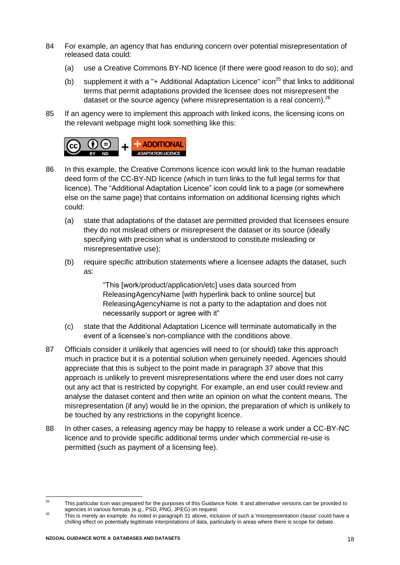- 84 For example, an agency that has enduring concern over potential misrepresentation of released data could:
	- (a) use a Creative Commons BY-ND licence (if there were good reason to do so); and
	- (b) supplement it with a "+ Additional Adaptation Licence" icon<sup>25</sup> that links to additional terms that permit adaptations provided the licensee does not misrepresent the dataset or the source agency (where misrepresentation is a real concern).<sup>26</sup>
- 85 If an agency were to implement this approach with linked icons, the licensing icons on the relevant webpage might look something like this:



- 86 In this example, the Creative Commons licence icon would link to the human readable deed form of the CC-BY-ND licence (which in turn links to the full legal terms for that licence). The "Additional Adaptation Licence" icon could link to a page (or somewhere else on the same page) that contains information on additional licensing rights which could:
	- (a) state that adaptations of the dataset are permitted provided that licensees ensure they do not mislead others or misrepresent the dataset or its source (ideally specifying with precision what is understood to constitute misleading or misrepresentative use);
	- (b) require specific attribution statements where a licensee adapts the dataset, such as:

"This [work/product/application/etc] uses data sourced from ReleasingAgencyName [with hyperlink back to online source] but ReleasingAgencyName is not a party to the adaptation and does not necessarily support or agree with it"

- (c) state that the Additional Adaptation Licence will terminate automatically in the event of a licensee's non-compliance with the conditions above.
- <span id="page-20-0"></span>87 Officials consider it unlikely that agencies will need to (or should) take this approach much in practice but it is a potential solution when genuinely needed. Agencies should appreciate that this is subject to the point made in paragraph [37](#page-10-0) above that this approach is unlikely to prevent misrepresentations where the end user does not carry out any act that is restricted by copyright. For example, an end user could review and analyse the dataset content and then write an opinion on what the content means. The misrepresentation (if any) would lie in the opinion, the preparation of which is unlikely to be touched by any restrictions in the copyright licence.
- 88 In other cases, a releasing agency may be happy to release a work under a CC-BY-NC licence and to provide specific additional terms under which commercial re-use is permitted (such as payment of a licensing fee).

 $25$ <sup>25</sup> This particular icon was prepared for the purposes of this Guidance Note. It and alternative versions can be provided to agencies in various formats (e.g., PSD, PNG, JPEG) on request.

<sup>&</sup>lt;sup>26</sup> This is merely an example. As noted in paragrap[h 31](#page-9-0) above, inclusion of such a 'misrepresentation clause' could have a chilling effect on potentially legitimate interpretations of data, particularly in areas where there is scope for debate.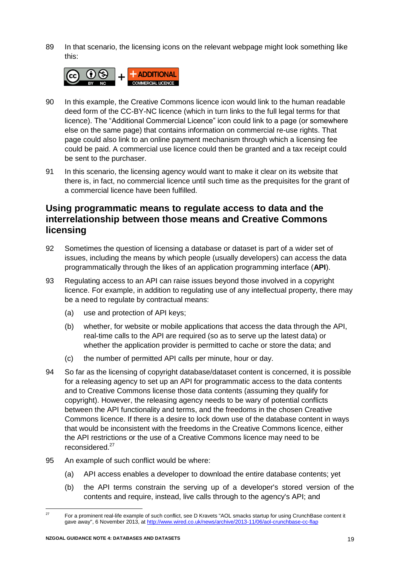89 In that scenario, the licensing icons on the relevant webpage might look something like this:



- 90 In this example, the Creative Commons licence icon would link to the human readable deed form of the CC-BY-NC licence (which in turn links to the full legal terms for that licence). The "Additional Commercial Licence" icon could link to a page (or somewhere else on the same page) that contains information on commercial re-use rights. That page could also link to an online payment mechanism through which a licensing fee could be paid. A commercial use licence could then be granted and a tax receipt could be sent to the purchaser.
- 91 In this scenario, the licensing agency would want to make it clear on its website that there is, in fact, no commercial licence until such time as the prequisites for the grant of a commercial licence have been fulfilled.

# **Using programmatic means to regulate access to data and the interrelationship between those means and Creative Commons licensing**

- 92 Sometimes the question of licensing a database or dataset is part of a wider set of issues, including the means by which people (usually developers) can access the data programmatically through the likes of an application programming interface (**API**).
- 93 Regulating access to an API can raise issues beyond those involved in a copyright licence. For example, in addition to regulating use of any intellectual property, there may be a need to regulate by contractual means:
	- (a) use and protection of API keys;
	- (b) whether, for website or mobile applications that access the data through the API, real-time calls to the API are required (so as to serve up the latest data) or whether the application provider is permitted to cache or store the data; and
	- (c) the number of permitted API calls per minute, hour or day.
- 94 So far as the licensing of copyright database/dataset content is concerned, it is possible for a releasing agency to set up an API for programmatic access to the data contents and to Creative Commons license those data contents (assuming they qualify for copyright). However, the releasing agency needs to be wary of potential conflicts between the API functionality and terms, and the freedoms in the chosen Creative Commons licence. If there is a desire to lock down use of the database content in ways that would be inconsistent with the freedoms in the Creative Commons licence, either the API restrictions or the use of a Creative Commons licence may need to be reconsidered. 27
- 95 An example of such conflict would be where:
	- (a) API access enables a developer to download the entire database contents; yet
	- (b) the API terms constrain the serving up of a developer's stored version of the contents and require, instead, live calls through to the agency's API; and

 $\overline{27}$ <sup>27</sup> For a prominent real-life example of such conflict, see D Kravets "AOL smacks startup for using CrunchBase content it gave away", 6 November 2013, at<http://www.wired.co.uk/news/archive/2013-11/06/aol-crunchbase-cc-flap>